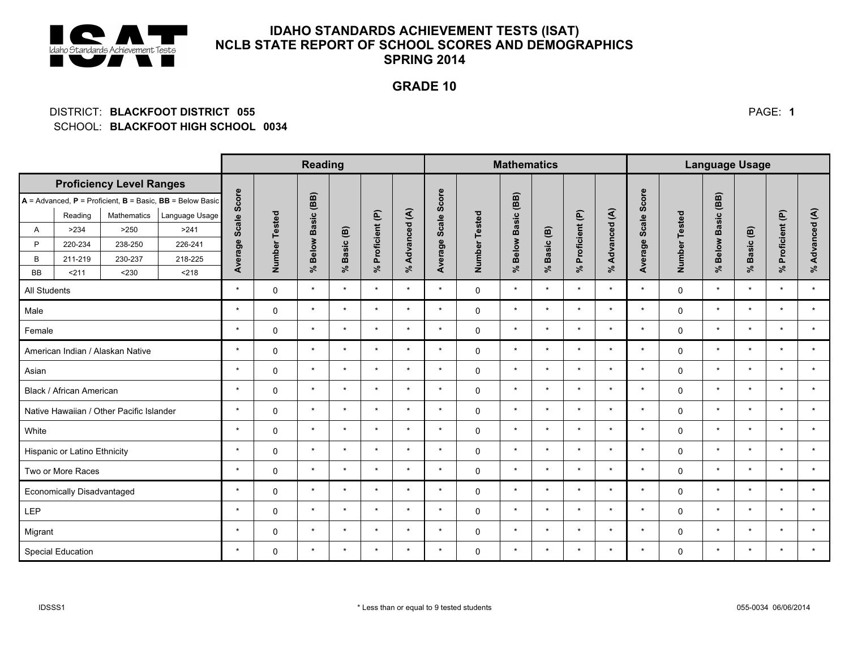

# **IDAHO STANDARDS ACHIEVEMENT TESTS (ISAT)** NCLB STATE REPORT OF SCHOOL SCORES AND DEMOGRAPHICS **SPRING 2014**

## **GRADE 10**

#### DISTRICT: BLACKFOOT DISTRICT 055 SCHOOL: BLACKFOOT HIGH SCHOOL 0034

|                                                                   |                          |             |                | <b>Reading</b>      |               |                |           |                      | <b>Mathematics</b>     |              |                         |                                   |                |                            | <b>Language Usage</b>    |             |                         |                                    |                       |                      |                        |
|-------------------------------------------------------------------|--------------------------|-------------|----------------|---------------------|---------------|----------------|-----------|----------------------|------------------------|--------------|-------------------------|-----------------------------------|----------------|----------------------------|--------------------------|-------------|-------------------------|------------------------------------|-----------------------|----------------------|------------------------|
| <b>Proficiency Level Ranges</b>                                   |                          |             |                |                     |               |                |           |                      |                        |              |                         |                                   |                |                            |                          |             |                         |                                    |                       |                      |                        |
| $A =$ Advanced, $P =$ Proficient, $B =$ Basic, $BB =$ Below Basic |                          |             |                | Average Scale Score |               | $\overline{B}$ |           |                      |                        | Score        |                         | (BB)                              |                |                            |                          | Scale Score |                         | (BB)                               |                       |                      |                        |
|                                                                   | Reading                  | Mathematics | Language Usage |                     |               |                |           |                      | $\widehat{\mathbf{S}}$ |              |                         |                                   |                |                            |                          |             |                         |                                    |                       |                      | $\widehat{\mathbf{S}}$ |
| A                                                                 | >234                     | >250        | >241           |                     |               | <b>Basic</b>   |           | Proficient (P)<br>వ్ |                        | <b>Scale</b> | <b>Tested</b><br>Number | <b>Basic</b><br>Below<br>$\aleph$ | Basic (B)<br>ೱ | Proficient (P)<br>$\aleph$ | Advanced (A)<br>$\aleph$ | Average     | <b>Tested</b><br>Number | <b>Basic</b><br><b>Below</b><br>వ్ | Basic (B)<br>$\aleph$ | Proficient (P)<br>ೢೕ | Advanced<br>$\aleph$   |
| P                                                                 | 220-234                  | 238-250     | 226-241        |                     |               | <b>Below</b>   | Basic (B) |                      | Advanced<br>$\approx$  | Average      |                         |                                   |                |                            |                          |             |                         |                                    |                       |                      |                        |
| B                                                                 | 211-219                  | 230-237     | 218-225        |                     | Number Tested |                |           |                      |                        |              |                         |                                   |                |                            |                          |             |                         |                                    |                       |                      |                        |
| <b>BB</b>                                                         | < 211                    | < 230       | < 218          |                     |               | వి             | $\aleph$  |                      |                        |              |                         |                                   |                |                            |                          |             |                         |                                    |                       |                      |                        |
| All Students                                                      |                          |             | $\star$        | $\Omega$            | $\star$       | $\star$        | $\star$   | $\star$              | $\star$                | 0            | $\star$                 | $\star$                           | $\star$        | $\star$                    | $\star$                  | $\Omega$    | $\star$                 | $\star$                            | $\star$               | $\star$              |                        |
| Male                                                              |                          |             |                | $\star$             | $\Omega$      | $\star$        | $\star$   | $\star$              | $\star$                | $\star$      | 0                       | $\star$                           | $\star$        | $\star$                    | $\star$                  | $\star$     | $\Omega$                | $\star$                            | $\star$               | $\star$              | $\star$                |
| Female                                                            |                          |             | $\star$        | $\Omega$            | $\star$       | $\star$        | $\star$   | $\star$              | $\star$                | $\Omega$     | $\star$                 | $\star$                           | $\star$        | $\star$                    | $\star$                  | $\Omega$    | $\star$                 | $\star$                            | $\star$               | $\star$              |                        |
| American Indian / Alaskan Native                                  |                          |             |                | $\star$             | $\mathbf 0$   | $\star$        | $\star$   | $\star$              | $\star$                | $\star$      | $\mathbf 0$             | $\star$                           | $\star$        | $\star$                    | $\star$                  | $\star$     | 0                       | $\star$                            | $\star$               | $\star$              | $\star$                |
| Asian                                                             |                          |             | $\star$        | 0                   | $\star$       | $\star$        | $\star$   | $\star$              | $\star$                | 0            | $\star$                 | $\star$                           | $\star$        | $\star$                    | $\star$                  | 0           | $\star$                 | $\star$                            | $\star$               | $\star$              |                        |
| Black / African American                                          |                          |             |                | $\star$             | $\mathbf 0$   | $\star$        | $\star$   | $\star$              | $\star$                | $\star$      | $\mathbf 0$             | $\star$                           | $\star$        | $\star$                    | $\star$                  | $\star$     | 0                       | $\star$                            | $\star$               | $\star$              | $\star$                |
| Native Hawaiian / Other Pacific Islander                          |                          |             |                | $\star$             | $\mathbf 0$   | $\star$        | $\star$   | $\star$              | $\star$                | $\star$      | 0                       | $\star$                           | $\star$        | $\star$                    | $\star$                  | $\star$     | 0                       | $\star$                            | $\star$               | $\star$              | $\star$                |
| White                                                             |                          |             |                | $\star$             | $\mathbf 0$   | $\star$        | $\star$   | $\star$              | $\star$                | $\star$      | $\mathbf 0$             | $\star$                           | $\star$        | $\star$                    | $\star$                  | $\star$     | 0                       | $\star$                            | $\star$               | $\star$              | $\star$                |
| Hispanic or Latino Ethnicity                                      |                          |             |                | $\star$             | $\Omega$      | $\star$        | $\star$   | $\star$              | $\star$                | $\star$      | $\mathbf 0$             | $\star$                           | $\star$        | $\star$                    | $\star$                  | $\star$     | $\Omega$                | $\star$                            | $\star$               | $\star$              | $\star$                |
| Two or More Races                                                 |                          |             |                | $\star$             | $\Omega$      | $\star$        | $\star$   | $\star$              | $\star$                | $\star$      | 0                       | $\star$                           | $\star$        | $\star$                    | $\star$                  | $\star$     | $\Omega$                | $\star$                            | $\star$               | $\star$              | $\star$                |
| Economically Disadvantaged                                        |                          |             |                | $\star$             | $\Omega$      | $\star$        | $\star$   | $\star$              | $\star$                | $\star$      | $\mathbf 0$             | $\star$                           | $\star$        | $\star$                    | $\star$                  | $\star$     | $\Omega$                | $\star$                            | $\star$               | $\star$              | $\star$                |
| LEP                                                               |                          |             |                | $\star$             | $\mathbf 0$   | $\star$        | $\star$   | $\star$              | $\star$                | $\star$      | $\mathbf 0$             | $\star$                           | $\star$        | $\star$                    | $\star$                  | $\star$     | 0                       | $\star$                            | $\star$               | $\star$              | $\star$                |
| Migrant                                                           |                          |             |                | $\star$             | 0             | $\star$        | $\star$   | $\star$              | $\star$                | $\star$      | 0                       | $\star$                           | $\star$        | $\star$                    | $\star$                  | $\star$     | 0                       | $\star$                            | $\star$               | $\star$              | $\star$                |
|                                                                   | <b>Special Education</b> |             |                | $\star$             | 0             | $\star$        | $\star$   | $\star$              | $\star$                | $\star$      | 0                       | $\star$                           | $\star$        | $\star$                    | $\star$                  | $\star$     | 0                       | $\star$                            | $\star$               | $\star$              | $\star$                |

PAGE: 1